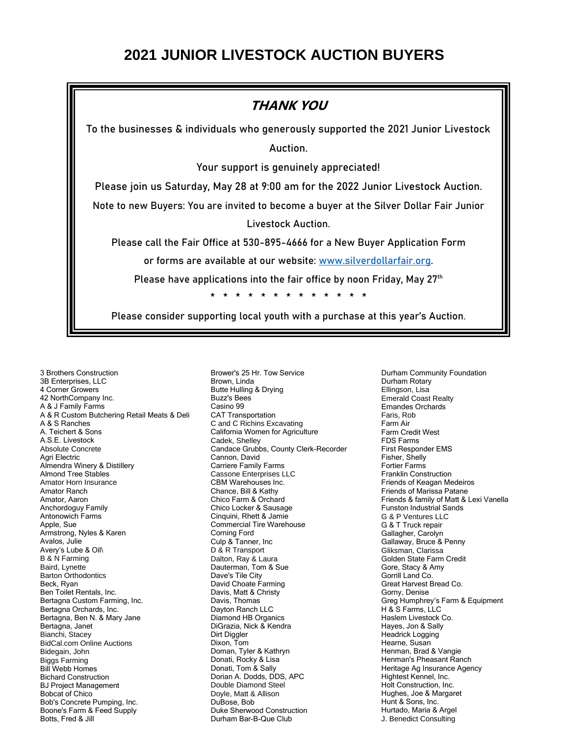## **2021 JUNIOR LIVESTOCK AUCTION BUYERS**



3 Brothers Construction 3B Enterprises, LLC 4 Corner Growers 42 NorthCompany Inc. A & J Family Farms A & R Custom Butchering Retail Meats & Deli A & S Ranches A. Teichert & Sons A.S.E. Livestock Absolute Concrete Agri Electric Almendra Winery & Distillery Almond Tree Stables Amator Horn Insurance Amator Ranch Amator, Aaron Anchordoguy Family Antonowich Farms Apple, Sue Armstrong, Nyles & Karen Avalos, Julie Avery's Lube & Oil\ B & N Farming Baird, Lynette Barton Orthodontics Beck, Ryan Ben Toilet Rentals, Inc. Bertagna Custom Farming, Inc. Bertagna Orchards, Inc. Bertagna, Ben N. & Mary Jane Bertagna, Janet Bianchi, Stacey BidCal.com Online Auctions Bidegain, John Biggs Farming Bill Webb Homes Bichard Construction BJ Project Management Bobcat of Chico Bob's Concrete Pumping, Inc. Boone's Farm & Feed Supply Botts, Fred & Jill

Brower's 25 Hr. Tow Service Brown, Linda Butte Hulling & Drying Buzz's Bees Casino 99 CAT Transportation C and C Richins Excavating California Women for Agriculture Cadek, Shelley Candace Grubbs, County Clerk-Recorder Cannon, David Carriere Family Farms Cassone Enterprises LLC CBM Warehouses Inc. Chance, Bill & Kathy Chico Farm & Orchard Chico Locker & Sausage Cinquini, Rhett & Jamie Commercial Tire Warehouse Corning Ford Culp & Tanner, Inc D & R Transport Dalton, Ray & Laura Dauterman, Tom & Sue Dave's Tile City David Choate Farming Davis, Matt & Christy Davis, Thomas Dayton Ranch LLC Diamond HB Organics DiGrazia, Nick & Kendra Dirt Diggler Dixon, Tom Doman, Tyler & Kathryn Donati, Rocky & Lisa Donati, Tom & Sally Dorian A. Dodds, DDS, APC Double Diamond Steel Doyle, Matt & Allison DuBose, Bob Duke Sherwood Construction Durham Bar-B-Que Club

Durham Community Foundation Durham Rotary Ellingson, Lisa Emerald Coast Realty Ernandes Orchards Faris, Rob Farm Air Farm Credit West FDS Farms First Responder EMS Fisher, Shelly Fortier Farms Franklin Construction Friends of Keagan Medeiros Friends of Marissa Patane Friends & family of Matt & Lexi Vanella Funston Industrial Sands G & P Ventures LLC G & T Truck repair Gallagher, Carolyn Gallaway, Bruce & Penny Gliksman, Clarissa Golden State Farm Credit Gore, Stacy & Amy Gorrill Land Co. Great Harvest Bread Co. Gorny, Denise Greg Humphrey's Farm & Equipment H & S Farms, LLC Haslem Livestock Co. Hayes, Jon & Sally Headrick Logging Hearne, Susan Henman, Brad & Vangie Henman's Pheasant Ranch Heritage Ag Insurance Agency Hightest Kennel, Inc. Holt Construction, Inc. Hughes, Joe & Margaret Hunt & Sons, Inc. Hurtado, Maria & Argel J. Benedict Consulting